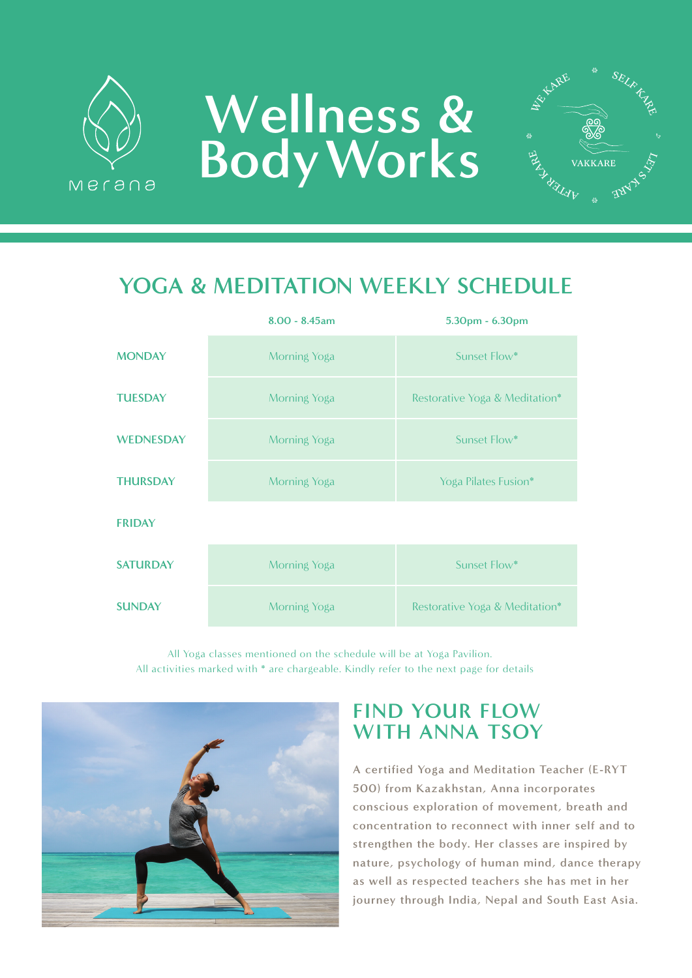

# **Wellness & Body Works**  $\mathbb{E}_{\mathbf{A}_{\lambda}}$



## **YOGA & MEDITATION WEEKLY SCHEDULE**

|                  | $8.00 - 8.45$ am | 5.30pm - 6.30pm                |
|------------------|------------------|--------------------------------|
| <b>MONDAY</b>    | Morning Yoga     | Sunset Flow*                   |
| <b>TUESDAY</b>   | Morning Yoga     | Restorative Yoga & Meditation* |
| <b>WEDNESDAY</b> | Morning Yoga     | Sunset Flow*                   |
| <b>THURSDAY</b>  | Morning Yoga     | Yoga Pilates Fusion*           |
| <b>FRIDAY</b>    |                  |                                |
| <b>SATURDAY</b>  | Morning Yoga     | Sunset Flow*                   |
| <b>SUNDAY</b>    | Morning Yoga     | Restorative Yoga & Meditation* |

All activities marked with \* are chargeable. Kindly refer to the next page for details All Yoga classes mentioned on the schedule will be at Yoga Pavilion.



### **FIND YOUR FLOW WITH ANNA TSOY**

**A certified Yoga and Meditation Teacher (E-RYT 500) from Kazakhstan, Anna incorporates conscious exploration of movement, breath and concentration to reconnect with inner self and to strengthen the body. Her classes are inspired by nature, psychology of human mind, dance therapy as well as respected teachers she has met in her journey through India, Nepal and South East Asia.**